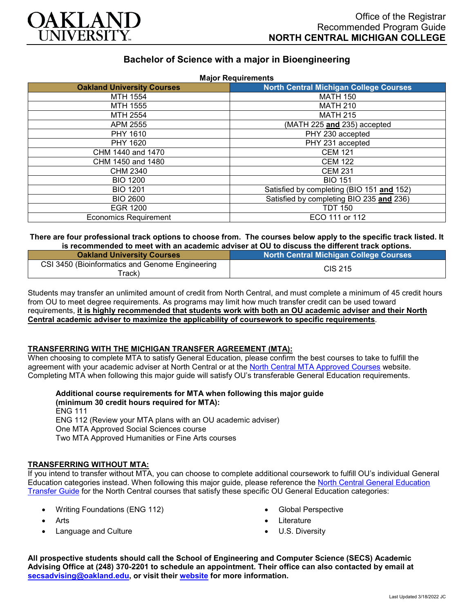

# **Bachelor of Science with a major in Bioengineering**

| <b>Major Requirements</b>         |                                               |
|-----------------------------------|-----------------------------------------------|
| <b>Oakland University Courses</b> | <b>North Central Michigan College Courses</b> |
| MTH 1554                          | <b>MATH 150</b>                               |
| MTH 1555                          | <b>MATH 210</b>                               |
| MTH 2554                          | <b>MATH 215</b>                               |
| APM 2555                          | (MATH 225 and 235) accepted                   |
| PHY 1610                          | PHY 230 accepted                              |
| PHY 1620                          | PHY 231 accepted                              |
| CHM 1440 and 1470                 | <b>CEM 121</b>                                |
| CHM 1450 and 1480                 | <b>CEM 122</b>                                |
| CHM 2340                          | <b>CEM 231</b>                                |
| <b>BIO 1200</b>                   | <b>BIO 151</b>                                |
| <b>BIO 1201</b>                   | Satisfied by completing (BIO 151 and 152)     |
| <b>BIO 2600</b>                   | Satisfied by completing BIO 235 and 236)      |
| <b>EGR 1200</b>                   | <b>TDT 150</b>                                |
| <b>Economics Requirement</b>      | ECO 111 or 112                                |

### **There are four professional track options to choose from. The courses below apply to the specific track listed. It is recommended to meet with an academic adviser at OU to discuss the different track options.**

| <b>Oakland University Courses</b>                         | <b>North Central Michigan College Courses</b> |
|-----------------------------------------------------------|-----------------------------------------------|
| CSI 3450 (Bioinformatics and Genome Engineering<br>ˈrack) | CIS 215                                       |

Students may transfer an unlimited amount of credit from North Central, and must complete a minimum of 45 credit hours from OU to meet degree requirements. As programs may limit how much transfer credit can be used toward requirements, **it is highly recommended that students work with both an OU academic adviser and their North Central academic adviser to maximize the applicability of coursework to specific requirements**.

## **TRANSFERRING WITH THE MICHIGAN TRANSFER AGREEMENT (MTA):**

When choosing to complete MTA to satisfy General Education, please confirm the best courses to take to fulfill the agreement with your academic adviser at North Central or at the [North Central MTA Approved Courses](https://www.ncmich.edu/admissions/transfer-information/michigan-transfer-agreement-mta.html) website. Completing MTA when following this major guide will satisfy OU's transferable General Education requirements.

**Additional course requirements for MTA when following this major guide (minimum 30 credit hours required for MTA):**

ENG 111 ENG 112 (Review your MTA plans with an OU academic adviser) One MTA Approved Social Sciences course Two MTA Approved Humanities or Fine Arts courses

#### **TRANSFERRING WITHOUT MTA:**

If you intend to transfer without MTA, you can choose to complete additional coursework to fulfill OU's individual General Education categories instead. When following this major guide, please reference the [North Central General Education](https://www.oakland.edu/Assets/Oakland/program-guides/north-central-michigan-college/university-general-education-requirements/North%20Central%20Michigan%20Gen%20Ed.pdf)  [Transfer Guide](https://www.oakland.edu/Assets/Oakland/program-guides/north-central-michigan-college/university-general-education-requirements/North%20Central%20Michigan%20Gen%20Ed.pdf) for the North Central courses that satisfy these specific OU General Education categories:

- Writing Foundations (ENG 112)
- Arts
- Language and Culture
- Global Perspective
- Literature
- U.S. Diversity

**All prospective students should call the School of Engineering and Computer Science (SECS) Academic Advising Office at (248) 370-2201 to schedule an appointment. Their office can also contacted by email at [secsadvising@oakland.edu,](mailto:secsadvising@oakland.edu) or visit their [website](https://wwwp.oakland.edu/secs/advising/) for more information.**